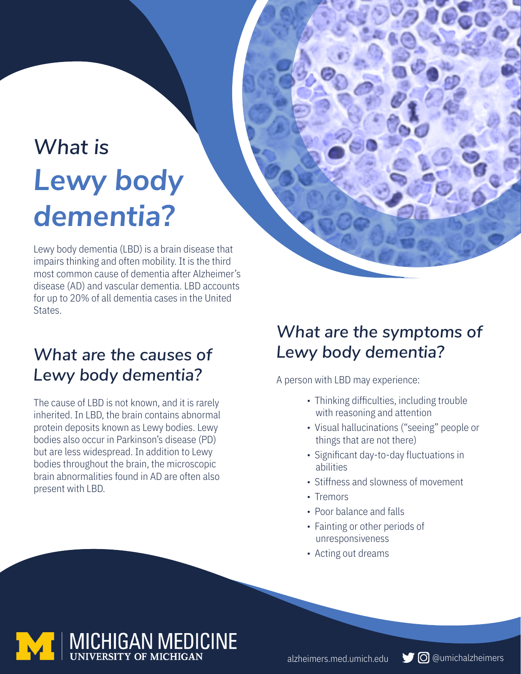# *What is Lewy body dementia?*

Lewy body dementia (LBD) is a brain disease that impairs thinking and often mobility. It is the third most common cause of dementia after Alzheimer's disease (AD) and vascular dementia. LBD accounts for up to 20% of all dementia cases in the United States.

## *What are the causes of*  **Lewy body dementia?** A person with LBD may experience:

The cause of LBD is not known, and it is rarely inherited. In LBD, the brain contains abnormal protein deposits known as Lewy bodies. Lewy bodies also occur in Parkinson's disease (PD) but are less widespread. In addition to Lewy bodies throughout the brain, the microscopic brain abnormalities found in AD are often also present with LBD.

### *What are the symptoms of Lewy body dementia?*

- Thinking difficulties, including trouble with reasoning and attention
- Visual hallucinations ("seeing" people or things that are not there)
- Significant day-to-day fluctuations in abilities
- Stiffness and slowness of movement
- Tremors
- Poor balance and falls
- Fainting or other periods of unresponsiveness
- Acting out dreams